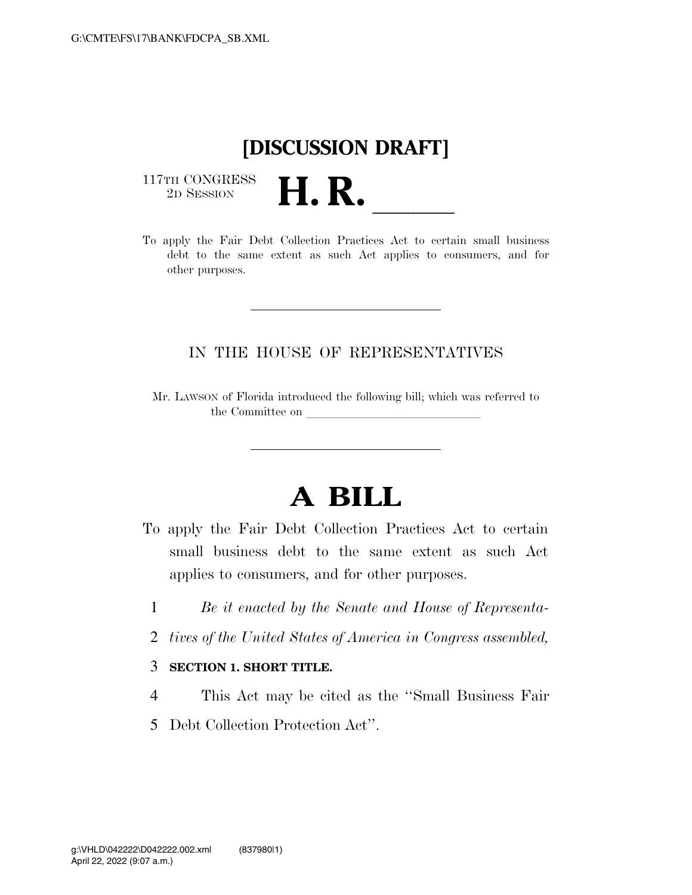## **[DISCUSSION DRAFT]**

 $\begin{array}{c} \text{117TH CONGRESS} \\ \text{2D Session} \end{array}$ 



## IN THE HOUSE OF REPRESENTATIVES

Mr. LAWSON of Florida introduced the following bill; which was referred to the Committee on

## **A BILL**

- To apply the Fair Debt Collection Practices Act to certain small business debt to the same extent as such Act applies to consumers, and for other purposes.
	- 1 *Be it enacted by the Senate and House of Representa-*
	- 2 *tives of the United States of America in Congress assembled,*
	- 3 **SECTION 1. SHORT TITLE.**
	- 4 This Act may be cited as the ''Small Business Fair
	- 5 Debt Collection Protection Act''.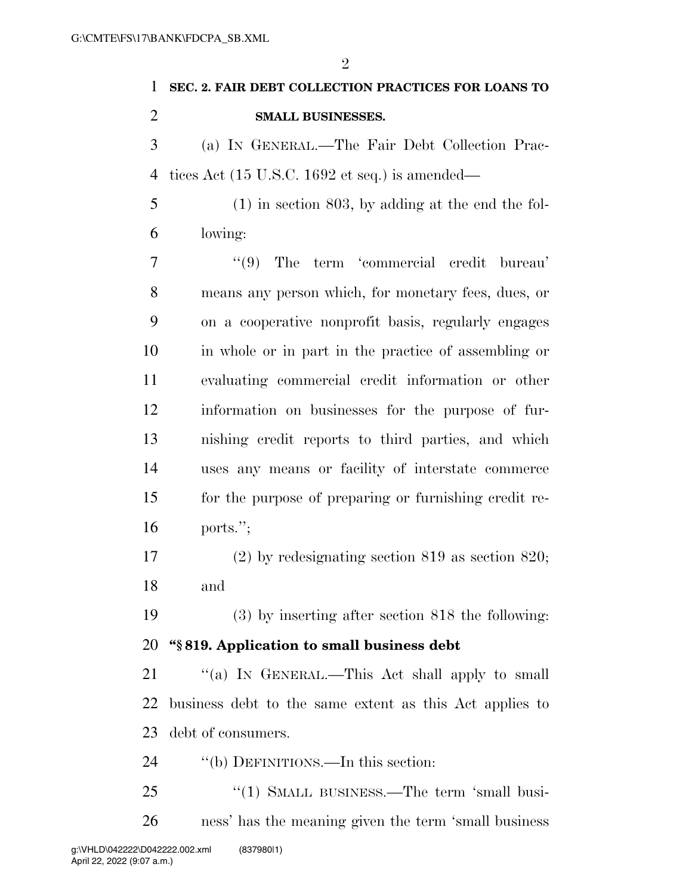| 1              | SEC. 2. FAIR DEBT COLLECTION PRACTICES FOR LOANS TO               |
|----------------|-------------------------------------------------------------------|
| $\overline{2}$ | SMALL BUSINESSES.                                                 |
| 3              | (a) IN GENERAL.—The Fair Debt Collection Prac-                    |
| $\overline{4}$ | tices Act $(15 \text{ U.S.C. } 1692 \text{ et seq.})$ is amended— |
| 5              | $(1)$ in section 803, by adding at the end the fol-               |
| 6              | lowing:                                                           |
| 7              | The term 'commercial credit bureau'<br>(9)                        |
| 8              | means any person which, for monetary fees, dues, or               |
| 9              | on a cooperative nonprofit basis, regularly engages               |
| 10             | in whole or in part in the practice of assembling or              |
| 11             | evaluating commercial credit information or other                 |
| 12             | information on businesses for the purpose of fur-                 |
| 13             | nishing credit reports to third parties, and which                |
| 14             | uses any means or facility of interstate commerce                 |
| 15             | for the purpose of preparing or furnishing credit re-             |
| 16             | ports.";                                                          |
| 17             | $(2)$ by redesignating section 819 as section 820;                |
| 18             | and                                                               |
| 19             | $(3)$ by inserting after section 818 the following:               |
| 20             | "\\$819. Application to small business debt                       |
| 21             | "(a) IN GENERAL.—This Act shall apply to small                    |
| 22             | business debt to the same extent as this Act applies to           |
| 23             | debt of consumers.                                                |
| 24             | "(b) DEFINITIONS.—In this section:                                |
| 25             | "(1) SMALL BUSINESS.—The term 'small busi-                        |

ness' has the meaning given the term 'small business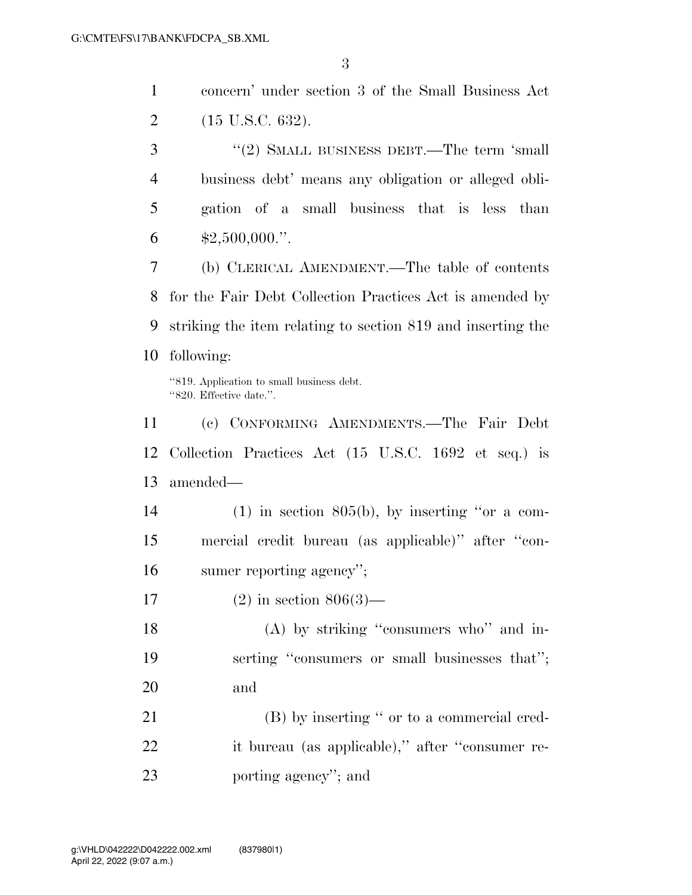|   | concern' under section 3 of the Small Business Act   |
|---|------------------------------------------------------|
| 2 | $(15 \text{ U.S.C. } 632).$                          |
| 3 | $''(2)$ SMALL BUSINESS DEBT.—The term 'small         |
|   | business debt' means any obligation or alleged obli- |
| 5 | gation of a small business that is less than         |
|   | $$2,500,000."$ .                                     |

 (b) CLERICAL AMENDMENT.—The table of contents for the Fair Debt Collection Practices Act is amended by striking the item relating to section 819 and inserting the following:

''819. Application to small business debt. ''820. Effective date.''.

 (c) CONFORMING AMENDMENTS.—The Fair Debt Collection Practices Act (15 U.S.C. 1692 et seq.) is amended—

 (1) in section 805(b), by inserting ''or a com- mercial credit bureau (as applicable)'' after ''con-sumer reporting agency'';

(2) in section 806(3)—

18 (A) by striking "consumers who" and in- serting ''consumers or small businesses that''; and

21 (B) by inserting " or to a commercial cred- it bureau (as applicable),'' after ''consumer re-porting agency''; and